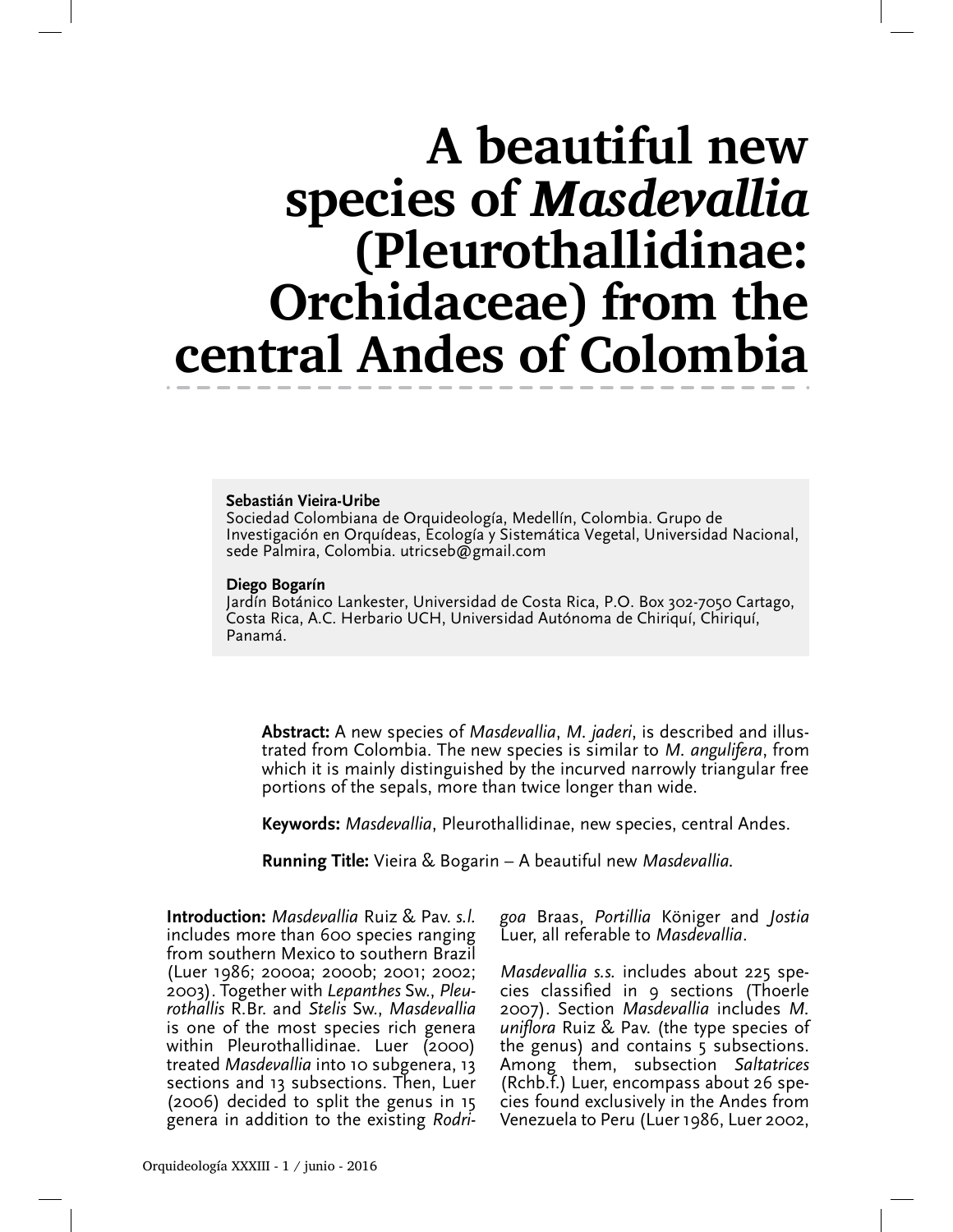# A beautiful new species of Masdevallia (Pleurothallidinae: Orchidaceae) from the central Andes of Colombia

#### Sebastián Vieira-Uribe

Sociedad Colombiana de Orquideología, Medellín, Colombia. Grupo de Investigación en Orquídeas, Ecología y Sistemática Vegetal, Universidad Nacional, sede Palmira, Colombia. utricseb@gmail.com

#### Diego Bogarín

Jardín Botánico Lankester, Universidad de Costa Rica, P.O. Box 302-7050 Cartago, Costa Rica, A.C. Herbario UCH, Universidad Autónoma de Chiriquí, Chiriquí, Panamá.

Abstract: A new species of Masdevallia, M. jaderi, is described and illustrated from Colombia. The new species is similar to M. angulifera, from which it is mainly distinguished by the incurved narrowly triangular free portions of the sepals, more than twice longer than wide.

Keywords: *Masdevallia*, Pleurothallidinae, new species, central Andes.

**Running Title:** Vieira & Bogarin – A beautiful new *Masdevallia*.

**Introduction:** Masdevallia Ruiz & Pav. s.l. includes more than 600 species ranging from southern Mexico to southern Brazil (Luer 1986; 2000a; 2000b; 2001; 2002; 2003). Together with Lepanthes Sw., Pleurothallis R.Br. and Stelis Sw., Masdevallia is one of the most species rich genera within Pleurothallidinae. Luer (2000) treated Masdevallia into 10 subgenera, 13 sections and 13 subsections. Then, Luer (2006) decided to split the genus in 15 genera in addition to the existing Rodrigoa Braas, Portillia Königer and Jostia Luer, all referable to Masdevallia.

Masdevallia s.s. includes about 225 species classified in 9 sections (Thoerle 2007). Section Masdevallia includes M. uniflora Ruiz & Pav. (the type species of the genus) and contains 5 subsections. Among them, subsection Saltatrices (Rchb.f.) Luer, encompass about 26 species found exclusively in the Andes from Venezuela to Peru (Luer 1986, Luer 2002,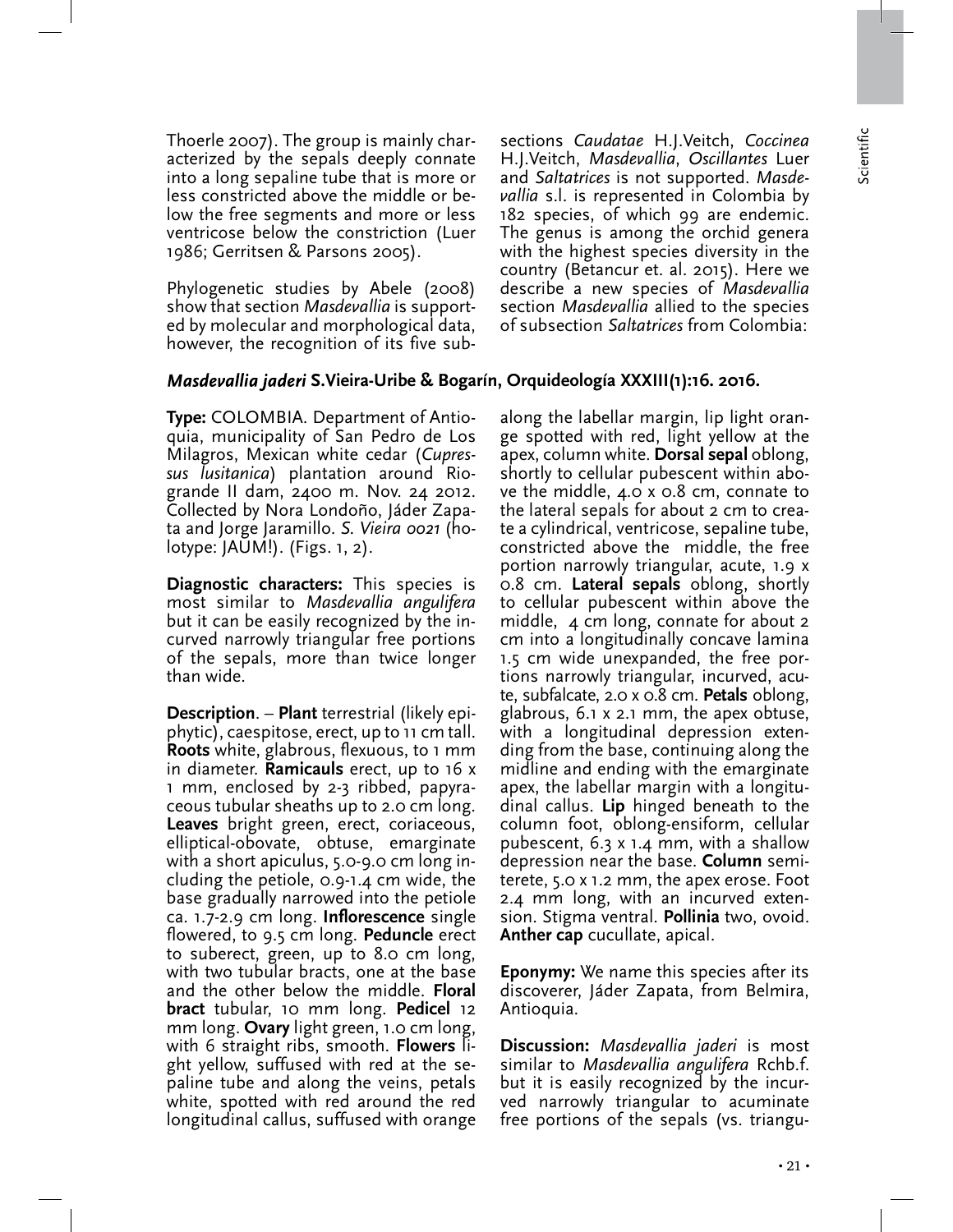Thoerle 2007). The group is mainly characterized by the sepals deeply connate into a long sepaline tube that is more or less constricted above the middle or below the free segments and more or less ventricose below the constriction (Luer 1986; Gerritsen & Parsons 2005).

Phylogenetic studies by Abele (2008) show that section Masdevallia is supported by molecular and morphological data, however, the recognition of its five subsections Caudatae H.J.Veitch, Coccinea H.J.Veitch, Masdevallia, Oscillantes Luer and Saltatrices is not supported. Masdevallia s.l. is represented in Colombia by 182 species, of which 99 are endemic. The genus is among the orchid genera with the highest species diversity in the country (Betancur et. al. 2015). Here we describe a new species of Masdevallia section Masdevallia allied to the species of subsection Saltatrices from Colombia:

## Masdevallia jaderi S.Vieira-Uribe & Bogarín, Orquideología XXXIII(1):16. 2016.

Type: COLOMBIA. Department of Antioquia, municipality of San Pedro de Los Milagros, Mexican white cedar (Cupressus lusitanica) plantation around Riogrande II dam, 2400 m. Nov. 24 2012. Collected by Nora Londoño, Jáder Zapata and Jorge Jaramillo. S. Vieira 0021 (holotype: JAUM!). (Figs. 1, 2).

Diagnostic characters: This species is most similar to Masdevallia angulifera but it can be easily recognized by the incurved narrowly triangular free portions of the sepals, more than twice longer than wide.

Description. – Plant terrestrial (likely epiphytic), caespitose, erect, up to 11 cm tall. Roots white, glabrous, flexuous, to 1 mm in diameter. **Ramicauls** erect, up to  $16 \times$ 1 mm, enclosed by 2-3 ribbed, papyraceous tubular sheaths up to 2.0 cm long. Leaves bright green, erect, coriaceous, elliptical-obovate, obtuse, emarginate with a short apiculus, 5.0-9.0 cm long including the petiole, 0.9-1.4 cm wide, the base gradually narrowed into the petiole ca. 1.7-2.9 cm long. Inflorescence single flowered, to 9.5 cm long. Peduncle erect to suberect, green, up to 8.0 cm long, with two tubular bracts, one at the base and the other below the middle. Floral **bract** tubular, 10 mm long. **Pedicel** 12 mm long. **Ovary** light green, 1.0 cm long, with 6 straight ribs, smooth. **Flowers** light yellow, suffused with red at the sepaline tube and along the veins, petals white, spotted with red around the red longitudinal callus, suffused with orange

along the labellar margin, lip light orange spotted with red, light yellow at the apex, column white. Dorsal sepal oblong, shortly to cellular pubescent within above the middle, 4.0 x 0.8 cm, connate to the lateral sepals for about 2 cm to create a cylindrical, ventricose, sepaline tube, constricted above the middle, the free portion narrowly triangular, acute, 1.9 x 0.8 cm. Lateral sepals oblong, shortly to cellular pubescent within above the middle, 4 cm long, connate for about 2 cm into a longitudinally concave lamina 1.5 cm wide unexpanded, the free portions narrowly triangular, incurved, acute, subfalcate, 2.0 x 0.8 cm. Petals oblong, glabrous, 6.1 x 2.1 mm, the apex obtuse, with a longitudinal depression extending from the base, continuing along the midline and ending with the emarginate apex, the labellar margin with a longitudinal callus. Lip hinged beneath to the column foot, oblong-ensiform, cellular pubescent, 6.3 x 1.4 mm, with a shallow depression near the base. Column semiterete, 5.0 x 1.2 mm, the apex erose. Foot 2.4 mm long, with an incurved extension. Stigma ventral. Pollinia two, ovoid. Anther cap cucullate, apical.

Eponymy: We name this species after its discoverer, Jáder Zapata, from Belmira, Antioquia.

Discussion: Masdevallia jaderi is most similar to Masdevallia angulifera Rchb.f. but it is easily recognized by the incurved narrowly triangular to acuminate free portions of the sepals (vs. triangu-